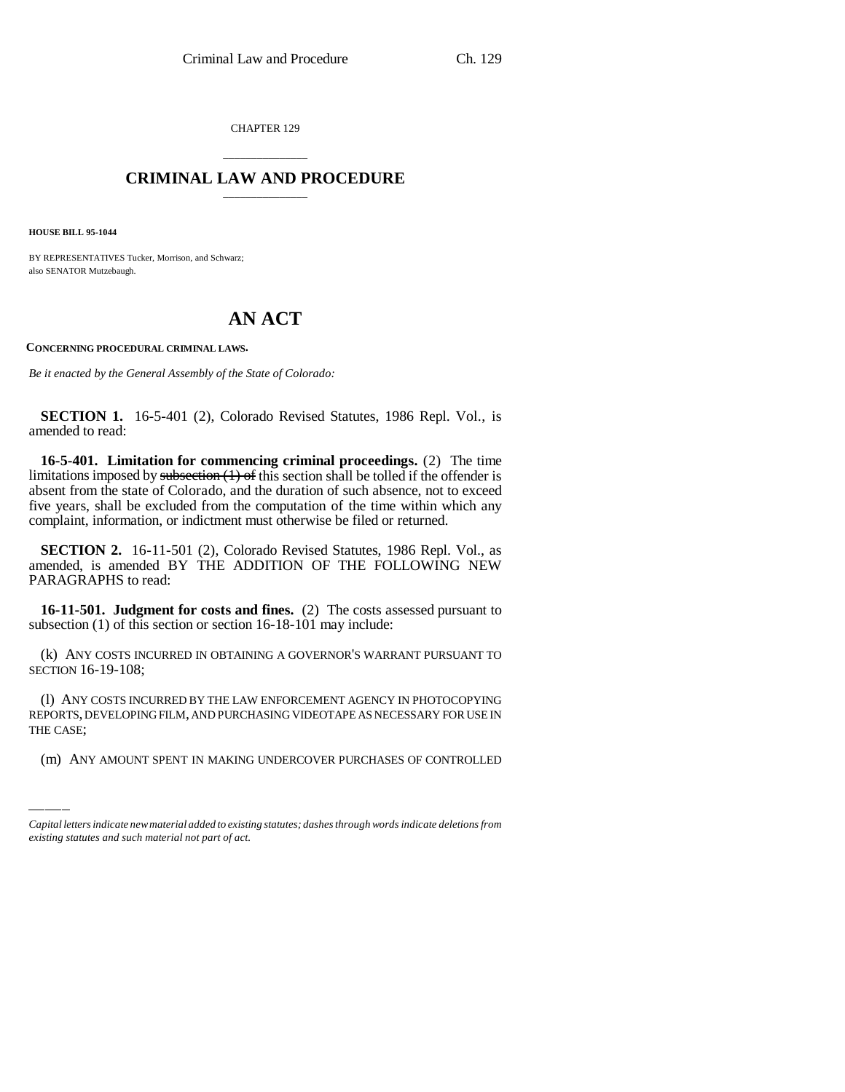CHAPTER 129

## \_\_\_\_\_\_\_\_\_\_\_\_\_\_\_ **CRIMINAL LAW AND PROCEDURE** \_\_\_\_\_\_\_\_\_\_\_\_\_\_\_

**HOUSE BILL 95-1044**

BY REPRESENTATIVES Tucker, Morrison, and Schwarz; also SENATOR Mutzebaugh.

## **AN ACT**

**CONCERNING PROCEDURAL CRIMINAL LAWS.**

*Be it enacted by the General Assembly of the State of Colorado:*

**SECTION 1.** 16-5-401 (2), Colorado Revised Statutes, 1986 Repl. Vol., is amended to read:

**16-5-401. Limitation for commencing criminal proceedings.** (2) The time limitations imposed by subsection  $(1)$  of this section shall be tolled if the offender is absent from the state of Colorado, and the duration of such absence, not to exceed five years, shall be excluded from the computation of the time within which any complaint, information, or indictment must otherwise be filed or returned.

**SECTION 2.** 16-11-501 (2), Colorado Revised Statutes, 1986 Repl. Vol., as amended, is amended BY THE ADDITION OF THE FOLLOWING NEW PARAGRAPHS to read:

**16-11-501. Judgment for costs and fines.** (2) The costs assessed pursuant to subsection (1) of this section or section 16-18-101 may include:

(k) ANY COSTS INCURRED IN OBTAINING A GOVERNOR'S WARRANT PURSUANT TO SECTION 16-19-108;

(I) ANY COSTS INCURRED BY THE LAW ENFORCEMENT AGENCY IN PHOTOCOPYING<br>REPORTS, DEVELOPING FILM, AND PURCHASING VIDEOTAPE AS NECESSARY FOR USE IN (l) ANY COSTS INCURRED BY THE LAW ENFORCEMENT AGENCY IN PHOTOCOPYING THE CASE;

(m) ANY AMOUNT SPENT IN MAKING UNDERCOVER PURCHASES OF CONTROLLED

*Capital letters indicate new material added to existing statutes; dashes through words indicate deletions from existing statutes and such material not part of act.*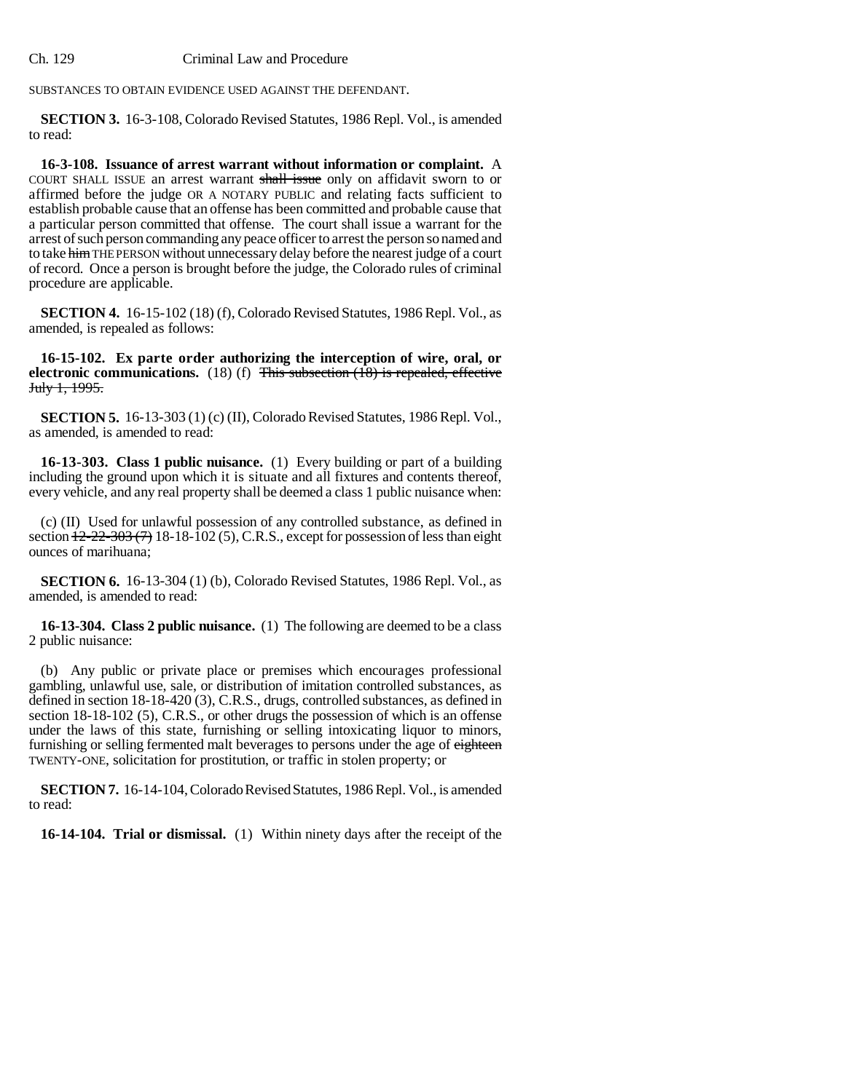Ch. 129 Criminal Law and Procedure

SUBSTANCES TO OBTAIN EVIDENCE USED AGAINST THE DEFENDANT.

**SECTION 3.** 16-3-108, Colorado Revised Statutes, 1986 Repl. Vol., is amended to read:

**16-3-108. Issuance of arrest warrant without information or complaint.** A COURT SHALL ISSUE an arrest warrant shall issue only on affidavit sworn to or affirmed before the judge OR A NOTARY PUBLIC and relating facts sufficient to establish probable cause that an offense has been committed and probable cause that a particular person committed that offense. The court shall issue a warrant for the arrest of such person commanding any peace officer to arrest the person so named and to take him THE PERSON without unnecessary delay before the nearest judge of a court of record. Once a person is brought before the judge, the Colorado rules of criminal procedure are applicable.

**SECTION 4.** 16-15-102 (18) (f), Colorado Revised Statutes, 1986 Repl. Vol., as amended, is repealed as follows:

**16-15-102. Ex parte order authorizing the interception of wire, oral, or electronic communications.** (18) (f) This subsection (18) is repealed, effective July 1, 1995.

**SECTION 5.** 16-13-303 (1) (c) (II), Colorado Revised Statutes, 1986 Repl. Vol., as amended, is amended to read:

**16-13-303. Class 1 public nuisance.** (1) Every building or part of a building including the ground upon which it is situate and all fixtures and contents thereof, every vehicle, and any real property shall be deemed a class 1 public nuisance when:

(c) (II) Used for unlawful possession of any controlled substance, as defined in section  $\frac{12-22-303(7)}{18-18-102(5)}$ , C.R.S., except for possession of less than eight ounces of marihuana;

**SECTION 6.** 16-13-304 (1) (b), Colorado Revised Statutes, 1986 Repl. Vol., as amended, is amended to read:

**16-13-304. Class 2 public nuisance.** (1) The following are deemed to be a class 2 public nuisance:

(b) Any public or private place or premises which encourages professional gambling, unlawful use, sale, or distribution of imitation controlled substances, as defined in section 18-18-420 (3), C.R.S., drugs, controlled substances, as defined in section 18-18-102 (5), C.R.S., or other drugs the possession of which is an offense under the laws of this state, furnishing or selling intoxicating liquor to minors, furnishing or selling fermented malt beverages to persons under the age of eighteen TWENTY-ONE, solicitation for prostitution, or traffic in stolen property; or

**SECTION 7.** 16-14-104, Colorado Revised Statutes, 1986 Repl. Vol., is amended to read:

**16-14-104. Trial or dismissal.** (1) Within ninety days after the receipt of the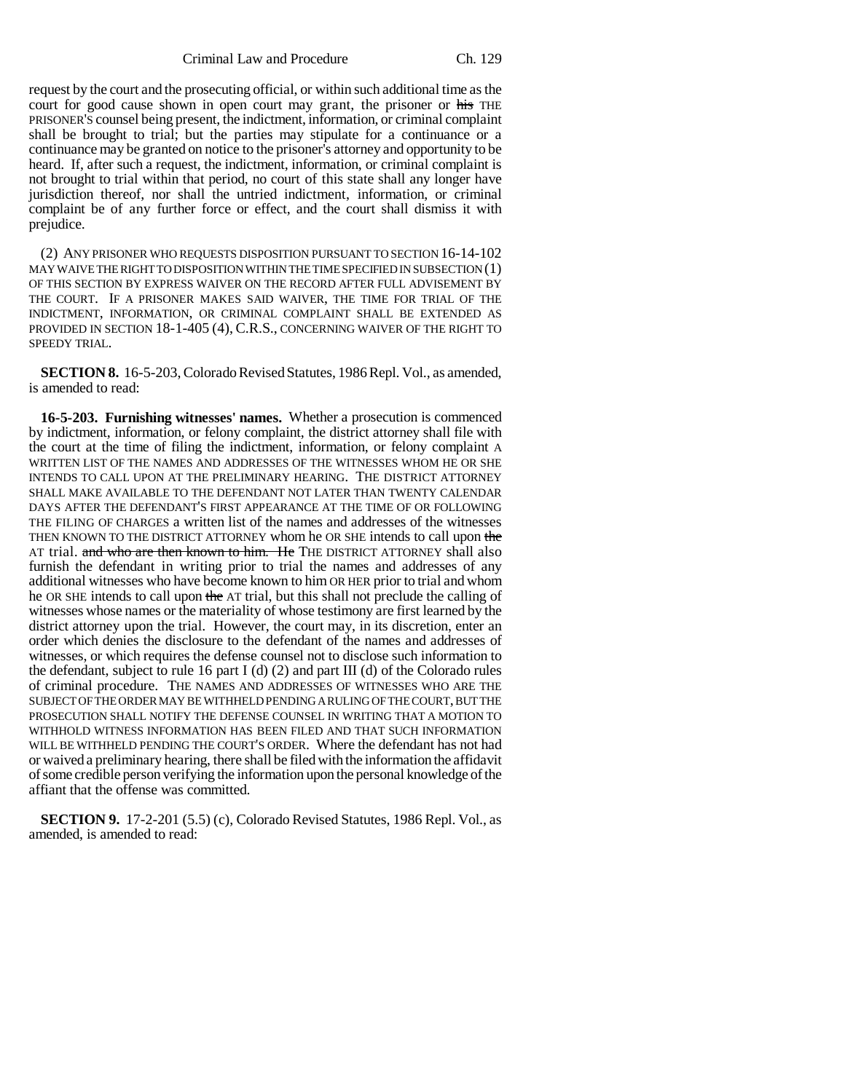Criminal Law and Procedure Ch. 129

request by the court and the prosecuting official, or within such additional time as the court for good cause shown in open court may grant, the prisoner or his THE PRISONER'S counsel being present, the indictment, information, or criminal complaint shall be brought to trial; but the parties may stipulate for a continuance or a continuance may be granted on notice to the prisoner's attorney and opportunity to be heard. If, after such a request, the indictment, information, or criminal complaint is not brought to trial within that period, no court of this state shall any longer have jurisdiction thereof, nor shall the untried indictment, information, or criminal complaint be of any further force or effect, and the court shall dismiss it with prejudice.

(2) ANY PRISONER WHO REQUESTS DISPOSITION PURSUANT TO SECTION 16-14-102 MAY WAIVE THE RIGHT TO DISPOSITION WITHIN THE TIME SPECIFIED IN SUBSECTION (1) OF THIS SECTION BY EXPRESS WAIVER ON THE RECORD AFTER FULL ADVISEMENT BY THE COURT. IF A PRISONER MAKES SAID WAIVER, THE TIME FOR TRIAL OF THE INDICTMENT, INFORMATION, OR CRIMINAL COMPLAINT SHALL BE EXTENDED AS PROVIDED IN SECTION 18-1-405 (4), C.R.S., CONCERNING WAIVER OF THE RIGHT TO SPEEDY TRIAL.

**SECTION 8.** 16-5-203, Colorado Revised Statutes, 1986 Repl. Vol., as amended, is amended to read:

**16-5-203. Furnishing witnesses' names.** Whether a prosecution is commenced by indictment, information, or felony complaint, the district attorney shall file with the court at the time of filing the indictment, information, or felony complaint A WRITTEN LIST OF THE NAMES AND ADDRESSES OF THE WITNESSES WHOM HE OR SHE INTENDS TO CALL UPON AT THE PRELIMINARY HEARING. THE DISTRICT ATTORNEY SHALL MAKE AVAILABLE TO THE DEFENDANT NOT LATER THAN TWENTY CALENDAR DAYS AFTER THE DEFENDANT'S FIRST APPEARANCE AT THE TIME OF OR FOLLOWING THE FILING OF CHARGES a written list of the names and addresses of the witnesses THEN KNOWN TO THE DISTRICT ATTORNEY whom he OR SHE intends to call upon the AT trial. and who are then known to him. He THE DISTRICT ATTORNEY shall also furnish the defendant in writing prior to trial the names and addresses of any additional witnesses who have become known to him OR HER prior to trial and whom he OR SHE intends to call upon the AT trial, but this shall not preclude the calling of witnesses whose names or the materiality of whose testimony are first learned by the district attorney upon the trial. However, the court may, in its discretion, enter an order which denies the disclosure to the defendant of the names and addresses of witnesses, or which requires the defense counsel not to disclose such information to the defendant, subject to rule 16 part I (d)  $(2)$  and part III (d) of the Colorado rules of criminal procedure. THE NAMES AND ADDRESSES OF WITNESSES WHO ARE THE SUBJECT OF THE ORDER MAY BE WITHHELD PENDING A RULING OF THE COURT, BUT THE PROSECUTION SHALL NOTIFY THE DEFENSE COUNSEL IN WRITING THAT A MOTION TO WITHHOLD WITNESS INFORMATION HAS BEEN FILED AND THAT SUCH INFORMATION WILL BE WITHHELD PENDING THE COURT'S ORDER. Where the defendant has not had or waived a preliminary hearing, there shall be filed with the information the affidavit of some credible person verifying the information upon the personal knowledge of the affiant that the offense was committed.

**SECTION 9.** 17-2-201 (5.5) (c), Colorado Revised Statutes, 1986 Repl. Vol., as amended, is amended to read: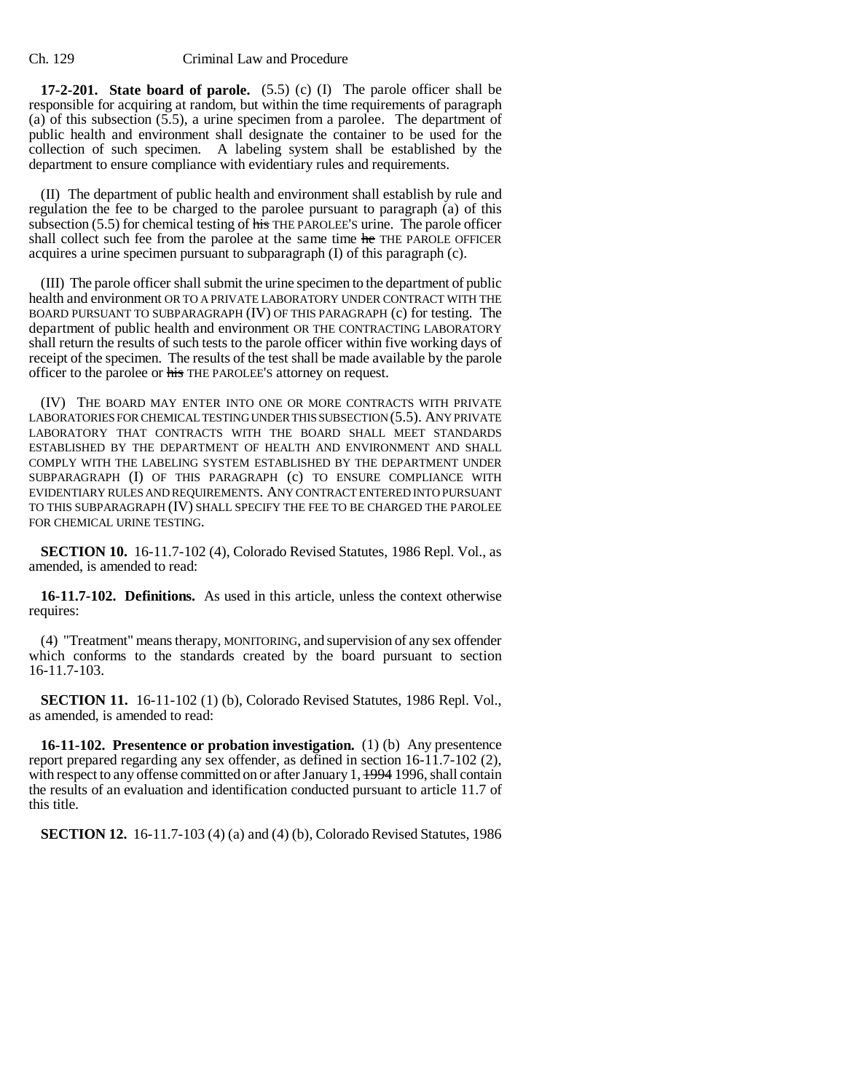**17-2-201. State board of parole.** (5.5) (c) (I) The parole officer shall be responsible for acquiring at random, but within the time requirements of paragraph (a) of this subsection (5.5), a urine specimen from a parolee. The department of public health and environment shall designate the container to be used for the collection of such specimen. A labeling system shall be established by the department to ensure compliance with evidentiary rules and requirements.

(II) The department of public health and environment shall establish by rule and regulation the fee to be charged to the parolee pursuant to paragraph (a) of this subsection  $(5.5)$  for chemical testing of  $\overline{h}$  THE PAROLEE'S urine. The parole officer shall collect such fee from the parolee at the same time he THE PAROLE OFFICER acquires a urine specimen pursuant to subparagraph (I) of this paragraph (c).

(III) The parole officer shall submit the urine specimen to the department of public health and environment OR TO A PRIVATE LABORATORY UNDER CONTRACT WITH THE BOARD PURSUANT TO SUBPARAGRAPH (IV) OF THIS PARAGRAPH (c) for testing. The department of public health and environment OR THE CONTRACTING LABORATORY shall return the results of such tests to the parole officer within five working days of receipt of the specimen. The results of the test shall be made available by the parole officer to the parolee or his THE PAROLEE'S attorney on request.

(IV) THE BOARD MAY ENTER INTO ONE OR MORE CONTRACTS WITH PRIVATE LABORATORIES FOR CHEMICAL TESTING UNDER THIS SUBSECTION (5.5). ANY PRIVATE LABORATORY THAT CONTRACTS WITH THE BOARD SHALL MEET STANDARDS ESTABLISHED BY THE DEPARTMENT OF HEALTH AND ENVIRONMENT AND SHALL COMPLY WITH THE LABELING SYSTEM ESTABLISHED BY THE DEPARTMENT UNDER SUBPARAGRAPH (I) OF THIS PARAGRAPH (c) TO ENSURE COMPLIANCE WITH EVIDENTIARY RULES AND REQUIREMENTS. ANY CONTRACT ENTERED INTO PURSUANT TO THIS SUBPARAGRAPH (IV) SHALL SPECIFY THE FEE TO BE CHARGED THE PAROLEE FOR CHEMICAL URINE TESTING.

**SECTION 10.** 16-11.7-102 (4), Colorado Revised Statutes, 1986 Repl. Vol., as amended, is amended to read:

**16-11.7-102. Definitions.** As used in this article, unless the context otherwise requires:

(4) "Treatment" means therapy, MONITORING, and supervision of any sex offender which conforms to the standards created by the board pursuant to section 16-11.7-103.

**SECTION 11.** 16-11-102 (1) (b), Colorado Revised Statutes, 1986 Repl. Vol., as amended, is amended to read:

**16-11-102. Presentence or probation investigation.** (1) (b) Any presentence report prepared regarding any sex offender, as defined in section 16-11.7-102 (2), with respect to any offense committed on or after January 1, 1994 1996, shall contain the results of an evaluation and identification conducted pursuant to article 11.7 of this title.

**SECTION 12.** 16-11.7-103 (4) (a) and (4) (b), Colorado Revised Statutes, 1986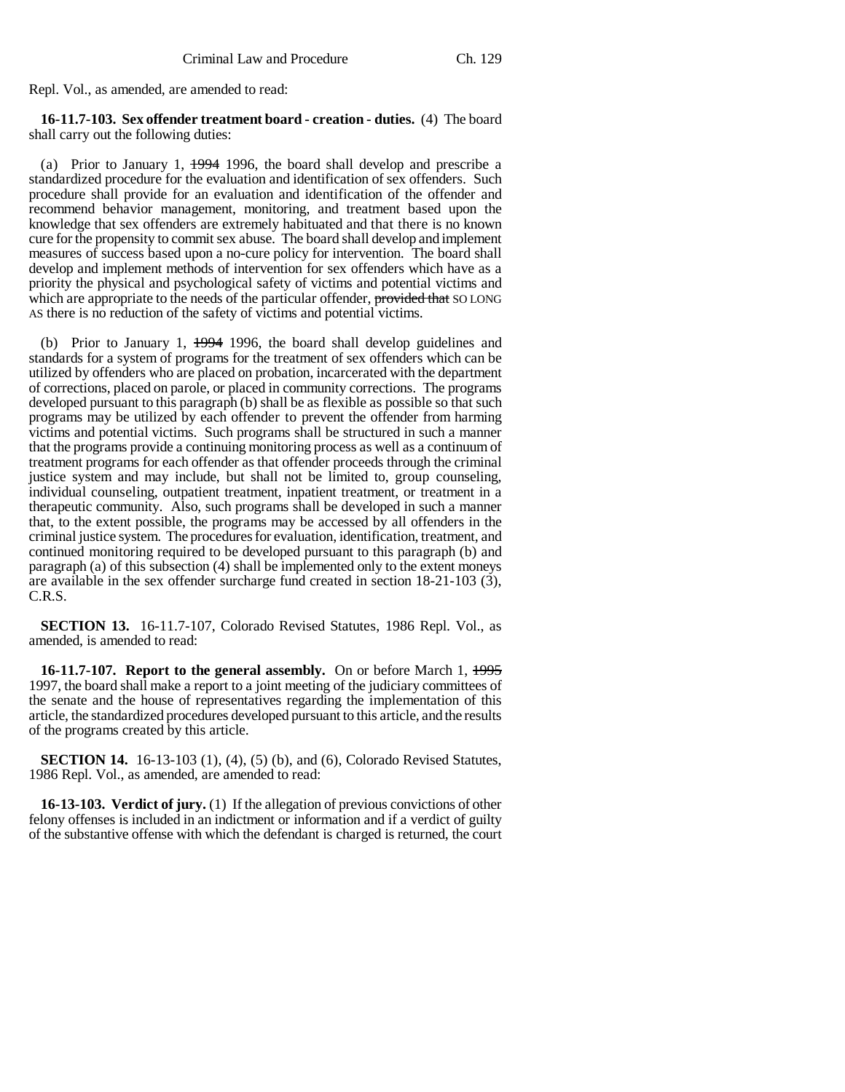Repl. Vol., as amended, are amended to read:

**16-11.7-103. Sex offender treatment board - creation - duties.** (4) The board shall carry out the following duties:

(a) Prior to January 1, 1994 1996, the board shall develop and prescribe a standardized procedure for the evaluation and identification of sex offenders. Such procedure shall provide for an evaluation and identification of the offender and recommend behavior management, monitoring, and treatment based upon the knowledge that sex offenders are extremely habituated and that there is no known cure for the propensity to commit sex abuse. The board shall develop and implement measures of success based upon a no-cure policy for intervention. The board shall develop and implement methods of intervention for sex offenders which have as a priority the physical and psychological safety of victims and potential victims and which are appropriate to the needs of the particular offender, provided that SO LONG AS there is no reduction of the safety of victims and potential victims.

(b) Prior to January 1, 1994 1996, the board shall develop guidelines and standards for a system of programs for the treatment of sex offenders which can be utilized by offenders who are placed on probation, incarcerated with the department of corrections, placed on parole, or placed in community corrections. The programs developed pursuant to this paragraph (b) shall be as flexible as possible so that such programs may be utilized by each offender to prevent the offender from harming victims and potential victims. Such programs shall be structured in such a manner that the programs provide a continuing monitoring process as well as a continuum of treatment programs for each offender as that offender proceeds through the criminal justice system and may include, but shall not be limited to, group counseling, individual counseling, outpatient treatment, inpatient treatment, or treatment in a therapeutic community. Also, such programs shall be developed in such a manner that, to the extent possible, the programs may be accessed by all offenders in the criminal justice system. The procedures for evaluation, identification, treatment, and continued monitoring required to be developed pursuant to this paragraph (b) and paragraph (a) of this subsection (4) shall be implemented only to the extent moneys are available in the sex offender surcharge fund created in section 18-21-103 (3), C.R.S.

**SECTION 13.** 16-11.7-107, Colorado Revised Statutes, 1986 Repl. Vol., as amended, is amended to read:

**16-11.7-107. Report to the general assembly.** On or before March 1, 1995 1997, the board shall make a report to a joint meeting of the judiciary committees of the senate and the house of representatives regarding the implementation of this article, the standardized procedures developed pursuant to this article, and the results of the programs created by this article.

**SECTION 14.** 16-13-103 (1), (4), (5) (b), and (6), Colorado Revised Statutes, 1986 Repl. Vol., as amended, are amended to read:

**16-13-103. Verdict of jury.** (1) If the allegation of previous convictions of other felony offenses is included in an indictment or information and if a verdict of guilty of the substantive offense with which the defendant is charged is returned, the court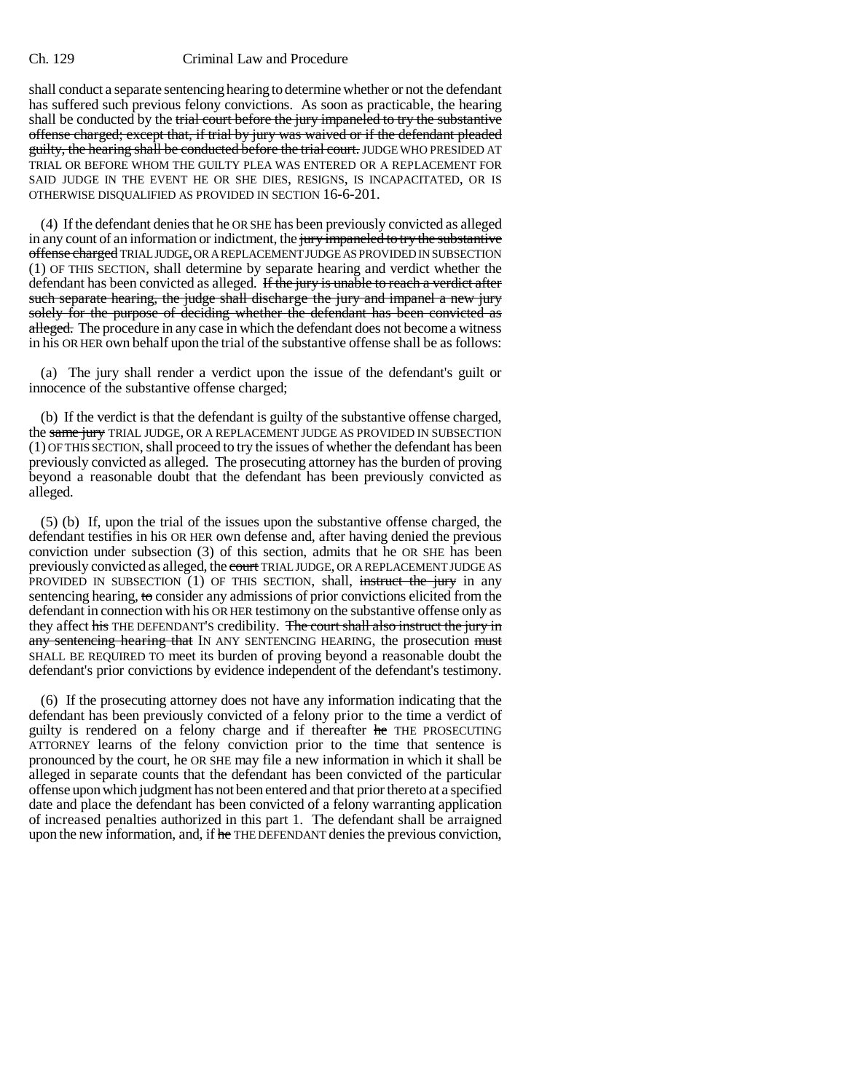## Ch. 129 Criminal Law and Procedure

shall conduct a separate sentencing hearing to determine whether or not the defendant has suffered such previous felony convictions. As soon as practicable, the hearing shall be conducted by the trial court before the jury impaneled to try the substantive offense charged; except that, if trial by jury was waived or if the defendant pleaded guilty, the hearing shall be conducted before the trial court. JUDGE WHO PRESIDED AT TRIAL OR BEFORE WHOM THE GUILTY PLEA WAS ENTERED OR A REPLACEMENT FOR SAID JUDGE IN THE EVENT HE OR SHE DIES, RESIGNS, IS INCAPACITATED, OR IS OTHERWISE DISQUALIFIED AS PROVIDED IN SECTION 16-6-201.

(4) If the defendant denies that he OR SHE has been previously convicted as alleged in any count of an information or indictment, the jury impaneled to try the substantive offense charged TRIAL JUDGE, OR A REPLACEMENT JUDGE AS PROVIDED IN SUBSECTION (1) OF THIS SECTION, shall determine by separate hearing and verdict whether the defendant has been convicted as alleged. If the jury is unable to reach a verdict after such separate hearing, the judge shall discharge the jury and impanel a new jury solely for the purpose of deciding whether the defendant has been convicted as alleged. The procedure in any case in which the defendant does not become a witness in his OR HER own behalf upon the trial of the substantive offense shall be as follows:

(a) The jury shall render a verdict upon the issue of the defendant's guilt or innocence of the substantive offense charged;

(b) If the verdict is that the defendant is guilty of the substantive offense charged, the same jury TRIAL JUDGE, OR A REPLACEMENT JUDGE AS PROVIDED IN SUBSECTION (1) OF THIS SECTION, shall proceed to try the issues of whether the defendant has been previously convicted as alleged. The prosecuting attorney has the burden of proving beyond a reasonable doubt that the defendant has been previously convicted as alleged.

(5) (b) If, upon the trial of the issues upon the substantive offense charged, the defendant testifies in his OR HER own defense and, after having denied the previous conviction under subsection (3) of this section, admits that he OR SHE has been previously convicted as alleged, the court TRIAL JUDGE, OR A REPLACEMENT JUDGE AS PROVIDED IN SUBSECTION  $(1)$  OF THIS SECTION, shall, instruct the jury in any sentencing hearing, to consider any admissions of prior convictions elicited from the defendant in connection with his OR HER testimony on the substantive offense only as they affect his THE DEFENDANT'S credibility. The court shall also instruct the jury in any sentencing hearing that IN ANY SENTENCING HEARING, the prosecution must SHALL BE REQUIRED TO meet its burden of proving beyond a reasonable doubt the defendant's prior convictions by evidence independent of the defendant's testimony.

(6) If the prosecuting attorney does not have any information indicating that the defendant has been previously convicted of a felony prior to the time a verdict of guilty is rendered on a felony charge and if thereafter he THE PROSECUTING ATTORNEY learns of the felony conviction prior to the time that sentence is pronounced by the court, he OR SHE may file a new information in which it shall be alleged in separate counts that the defendant has been convicted of the particular offense upon which judgment has not been entered and that prior thereto at a specified date and place the defendant has been convicted of a felony warranting application of increased penalties authorized in this part 1. The defendant shall be arraigned upon the new information, and, if he THE DEFENDANT denies the previous conviction,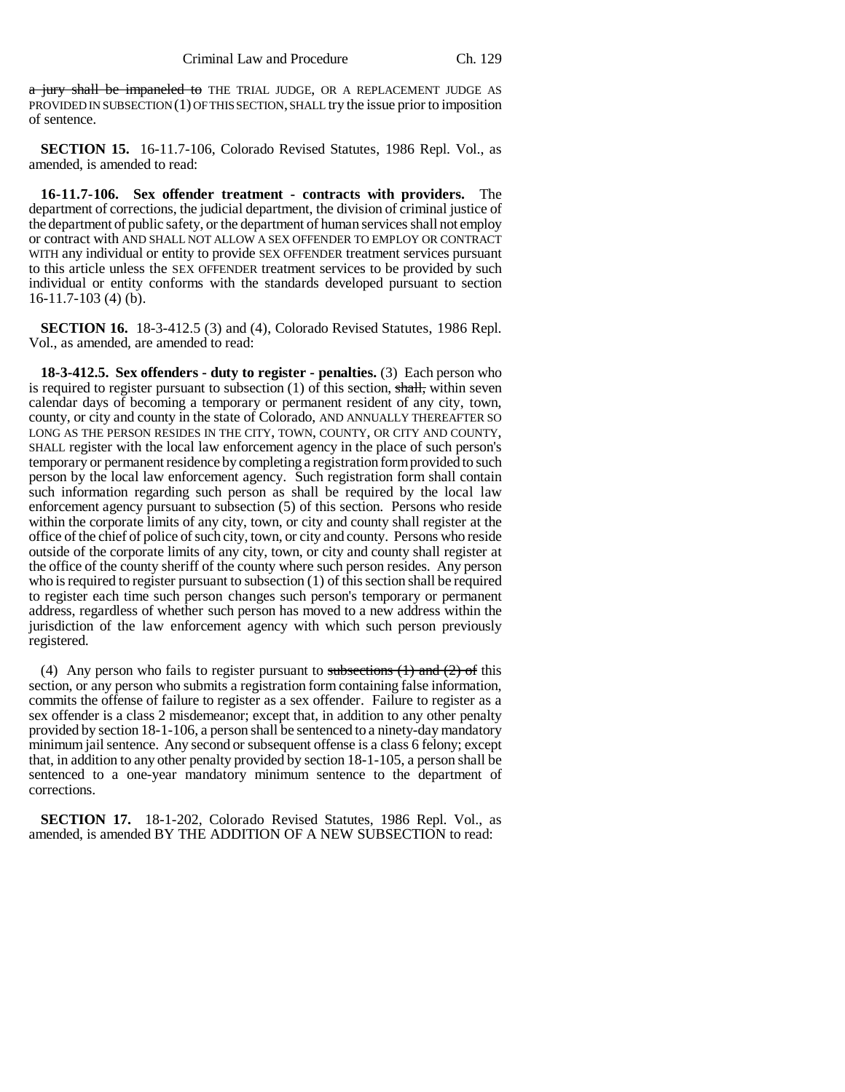a jury shall be impaneled to THE TRIAL JUDGE, OR A REPLACEMENT JUDGE AS PROVIDED IN SUBSECTION (1) OF THIS SECTION, SHALL try the issue prior to imposition of sentence.

**SECTION 15.** 16-11.7-106, Colorado Revised Statutes, 1986 Repl. Vol., as amended, is amended to read:

**16-11.7-106. Sex offender treatment - contracts with providers.** The department of corrections, the judicial department, the division of criminal justice of the department of public safety, or the department of human services shall not employ or contract with AND SHALL NOT ALLOW A SEX OFFENDER TO EMPLOY OR CONTRACT WITH any individual or entity to provide SEX OFFENDER treatment services pursuant to this article unless the SEX OFFENDER treatment services to be provided by such individual or entity conforms with the standards developed pursuant to section 16-11.7-103 (4) (b).

**SECTION 16.** 18-3-412.5 (3) and (4), Colorado Revised Statutes, 1986 Repl. Vol., as amended, are amended to read:

**18-3-412.5. Sex offenders - duty to register - penalties.** (3) Each person who is required to register pursuant to subsection  $(1)$  of this section, shall, within seven calendar days of becoming a temporary or permanent resident of any city, town, county, or city and county in the state of Colorado, AND ANNUALLY THEREAFTER SO LONG AS THE PERSON RESIDES IN THE CITY, TOWN, COUNTY, OR CITY AND COUNTY, SHALL register with the local law enforcement agency in the place of such person's temporary or permanent residence by completing a registration form provided to such person by the local law enforcement agency. Such registration form shall contain such information regarding such person as shall be required by the local law enforcement agency pursuant to subsection (5) of this section. Persons who reside within the corporate limits of any city, town, or city and county shall register at the office of the chief of police of such city, town, or city and county. Persons who reside outside of the corporate limits of any city, town, or city and county shall register at the office of the county sheriff of the county where such person resides. Any person who is required to register pursuant to subsection (1) of this section shall be required to register each time such person changes such person's temporary or permanent address, regardless of whether such person has moved to a new address within the jurisdiction of the law enforcement agency with which such person previously registered.

(4) Any person who fails to register pursuant to subsections  $(1)$  and  $(2)$  of this section, or any person who submits a registration form containing false information, commits the offense of failure to register as a sex offender. Failure to register as a sex offender is a class 2 misdemeanor; except that, in addition to any other penalty provided by section 18-1-106, a person shall be sentenced to a ninety-day mandatory minimum jail sentence. Any second or subsequent offense is a class 6 felony; except that, in addition to any other penalty provided by section 18-1-105, a person shall be sentenced to a one-year mandatory minimum sentence to the department of corrections.

**SECTION 17.** 18-1-202, Colorado Revised Statutes, 1986 Repl. Vol., as amended, is amended BY THE ADDITION OF A NEW SUBSECTION to read: